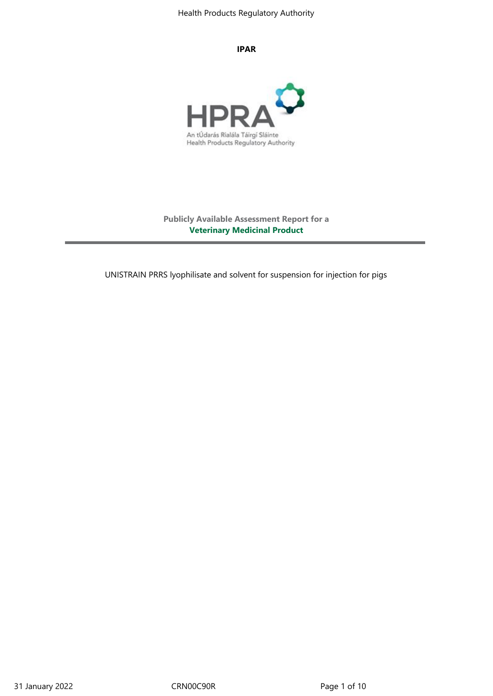#### **IPAR**



**Publicly Available Assessment Report for a Veterinary Medicinal Product**

UNISTRAIN PRRS lyophilisate and solvent for suspension for injection for pigs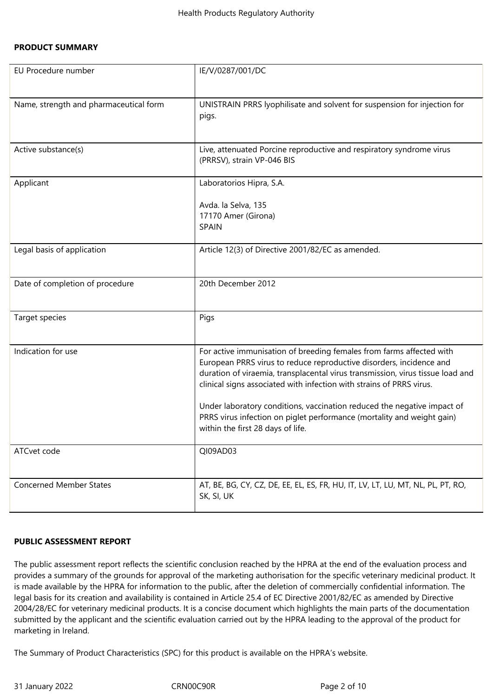### **PRODUCT SUMMARY**

| EU Procedure number                    | IE/V/0287/001/DC                                                                                                                                                                                                                                                                                                                                                                                                                                                                                |
|----------------------------------------|-------------------------------------------------------------------------------------------------------------------------------------------------------------------------------------------------------------------------------------------------------------------------------------------------------------------------------------------------------------------------------------------------------------------------------------------------------------------------------------------------|
| Name, strength and pharmaceutical form | UNISTRAIN PRRS lyophilisate and solvent for suspension for injection for<br>pigs.                                                                                                                                                                                                                                                                                                                                                                                                               |
| Active substance(s)                    | Live, attenuated Porcine reproductive and respiratory syndrome virus<br>(PRRSV), strain VP-046 BIS                                                                                                                                                                                                                                                                                                                                                                                              |
| Applicant                              | Laboratorios Hipra, S.A.<br>Avda. la Selva, 135<br>17170 Amer (Girona)<br><b>SPAIN</b>                                                                                                                                                                                                                                                                                                                                                                                                          |
| Legal basis of application             | Article 12(3) of Directive 2001/82/EC as amended.                                                                                                                                                                                                                                                                                                                                                                                                                                               |
| Date of completion of procedure        | 20th December 2012                                                                                                                                                                                                                                                                                                                                                                                                                                                                              |
| Target species                         | Pigs                                                                                                                                                                                                                                                                                                                                                                                                                                                                                            |
| Indication for use                     | For active immunisation of breeding females from farms affected with<br>European PRRS virus to reduce reproductive disorders, incidence and<br>duration of viraemia, transplacental virus transmission, virus tissue load and<br>clinical signs associated with infection with strains of PRRS virus.<br>Under laboratory conditions, vaccination reduced the negative impact of<br>PRRS virus infection on piglet performance (mortality and weight gain)<br>within the first 28 days of life. |
| ATCvet code                            | QI09AD03                                                                                                                                                                                                                                                                                                                                                                                                                                                                                        |
| <b>Concerned Member States</b>         | AT, BE, BG, CY, CZ, DE, EE, EL, ES, FR, HU, IT, LV, LT, LU, MT, NL, PL, PT, RO,<br>SK, SI, UK                                                                                                                                                                                                                                                                                                                                                                                                   |

### **PUBLIC ASSESSMENT REPORT**

The public assessment report reflects the scientific conclusion reached by the HPRA at the end of the evaluation process and provides a summary of the grounds for approval of the marketing authorisation for the specific veterinary medicinal product. It is made available by the HPRA for information to the public, after the deletion of commercially confidential information. The legal basis for its creation and availability is contained in Article 25.4 of EC Directive 2001/82/EC as amended by Directive 2004/28/EC for veterinary medicinal products. It is a concise document which highlights the main parts of the documentation submitted by the applicant and the scientific evaluation carried out by the HPRA leading to the approval of the product for marketing in Ireland.

The Summary of Product Characteristics (SPC) for this product is available on the HPRA's website.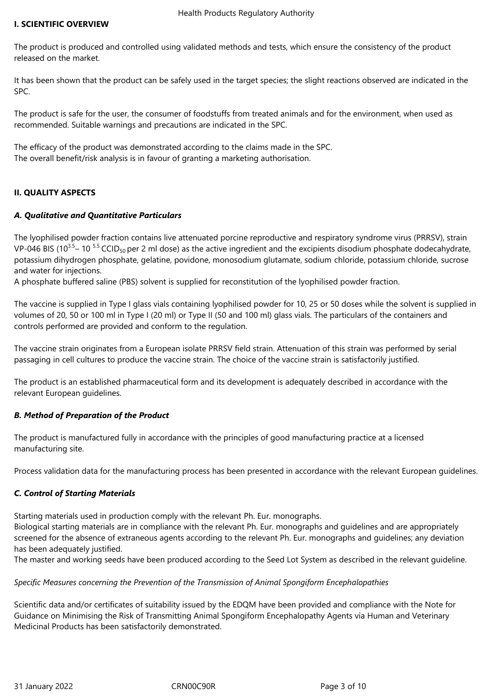## **I. SCIENTIFIC OVERVIEW**

The product is produced and controlled using validated methods and tests, which ensure the consistency of the product released on the market.

It has been shown that the product can be safely used in the target species; the slight reactions observed are indicated in the SPC.

The product is safe for the user, the consumer of foodstuffs from treated animals and for the environment, when used as recommended. Suitable warnings and precautions are indicated in the SPC.

The efficacy of the product was demonstrated according to the claims made in the SPC. The overall benefit/risk analysis is in favour of granting a marketing authorisation.

## **II. QUALITY ASPECTS**

## *A. Qualitative and Quantitative Particulars*

The lyophilised powder fraction contains live attenuated porcine reproductive and respiratory syndrome virus (PRRSV), strain VP-046 BIS (10<sup>3.5</sup>– 10<sup>5.5</sup> CCID<sub>50</sub> per 2 ml dose) as the active ingredient and the excipients disodium phosphate dodecahydrate, potassium dihydrogen phosphate, gelatine, povidone, monosodium glutamate, sodium chloride, potassium chloride, sucrose and water for injections.

A phosphate buffered saline (PBS) solvent is supplied for reconstitution of the lyophilised powder fraction.

The vaccine is supplied in Type I glass vials containing lyophilised powder for 10, 25 or 50 doses while the solvent is supplied in volumes of 20, 50 or 100 ml in Type I (20 ml) or Type II (50 and 100 ml) glass vials. The particulars of the containers and controls performed are provided and conform to the regulation.

The vaccine strain originates from a European isolate PRRSV field strain. Attenuation of this strain was performed by serial passaging in cell cultures to produce the vaccine strain. The choice of the vaccine strain is satisfactorily justified.

The product is an established pharmaceutical form and its development is adequately described in accordance with the relevant European guidelines.

## *B. Method of Preparation of the Product*

The product is manufactured fully in accordance with the principles of good manufacturing practice at a licensed manufacturing site.

Process validation data for the manufacturing process has been presented in accordance with the relevant European guidelines.

## *C. Control of Starting Materials*

Starting materials used in production comply with the relevant Ph. Eur. monographs.

Biological starting materials are in compliance with the relevant Ph. Eur. monographs and guidelines and are appropriately screened for the absence of extraneous agents according to the relevant Ph. Eur. monographs and guidelines; any deviation has been adequately justified.

The master and working seeds have been produced according to the Seed Lot System as described in the relevant guideline.

## *Specific Measures concerning the Prevention of the Transmission of Animal Spongiform Encephalopathies*

Scientific data and/or certificates of suitability issued by the EDQM have been provided and compliance with the Note for Guidance on Minimising the Risk of Transmitting Animal Spongiform Encephalopathy Agents via Human and Veterinary Medicinal Products has been satisfactorily demonstrated.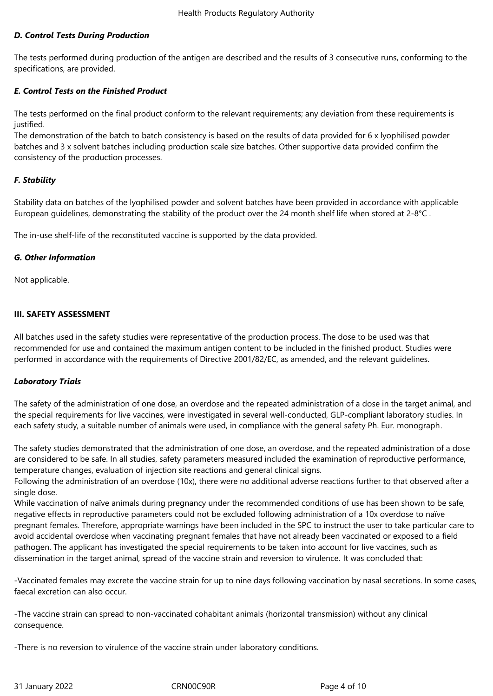#### *D. Control Tests During Production*

The tests performed during production of the antigen are described and the results of 3 consecutive runs, conforming to the specifications, are provided.

### *E. Control Tests on the Finished Product*

The tests performed on the final product conform to the relevant requirements; any deviation from these requirements is justified.

The demonstration of the batch to batch consistency is based on the results of data provided for 6 x lyophilised powder batches and 3 x solvent batches including production scale size batches. Other supportive data provided confirm the consistency of the production processes.

#### *F. Stability*

Stability data on batches of the lyophilised powder and solvent batches have been provided in accordance with applicable European guidelines, demonstrating the stability of the product over the 24 month shelf life when stored at 2-8°C .

The in-use shelf-life of the reconstituted vaccine is supported by the data provided.

#### *G. Other Information*

Not applicable.

#### **III. SAFETY ASSESSMENT**

All batches used in the safety studies were representative of the production process. The dose to be used was that recommended for use and contained the maximum antigen content to be included in the finished product. Studies were performed in accordance with the requirements of Directive 2001/82/EC, as amended, and the relevant guidelines.

#### *Laboratory Trials*

The safety of the administration of one dose, an overdose and the repeated administration of a dose in the target animal, and the special requirements for live vaccines, were investigated in several well-conducted, GLP-compliant laboratory studies. In each safety study, a suitable number of animals were used, in compliance with the general safety Ph. Eur. monograph.

The safety studies demonstrated that the administration of one dose, an overdose, and the repeated administration of a dose are considered to be safe. In all studies, safety parameters measured included the examination of reproductive performance, temperature changes, evaluation of injection site reactions and general clinical signs.

Following the administration of an overdose (10x), there were no additional adverse reactions further to that observed after a single dose.

While vaccination of naïve animals during pregnancy under the recommended conditions of use has been shown to be safe, negative effects in reproductive parameters could not be excluded following administration of a 10x overdose to naïve pregnant females. Therefore, appropriate warnings have been included in the SPC to instruct the user to take particular care to avoid accidental overdose when vaccinating pregnant females that have not already been vaccinated or exposed to a field pathogen. The applicant has investigated the special requirements to be taken into account for live vaccines, such as dissemination in the target animal, spread of the vaccine strain and reversion to virulence. It was concluded that:

-Vaccinated females may excrete the vaccine strain for up to nine days following vaccination by nasal secretions. In some cases, faecal excretion can also occur.

-The vaccine strain can spread to non-vaccinated cohabitant animals (horizontal transmission) without any clinical consequence.

-There is no reversion to virulence of the vaccine strain under laboratory conditions.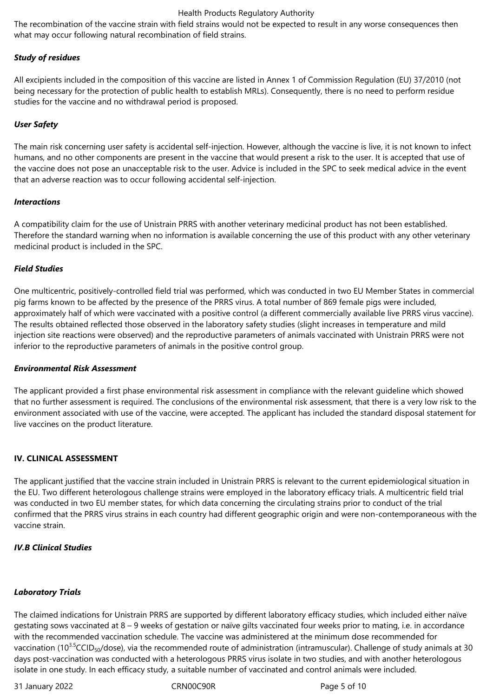## *Study of residues*

All excipients included in the composition of this vaccine are listed in Annex 1 of Commission Regulation (EU) 37/2010 (not being necessary for the protection of public health to establish MRLs). Consequently, there is no need to perform residue studies for the vaccine and no withdrawal period is proposed.

## *User Safety*

The main risk concerning user safety is accidental self-injection. However, although the vaccine is live, it is not known to infect humans, and no other components are present in the vaccine that would present a risk to the user. It is accepted that use of the vaccine does not pose an unacceptable risk to the user. Advice is included in the SPC to seek medical advice in the event that an adverse reaction was to occur following accidental self-injection.

#### *Interactions*

A compatibility claim for the use of Unistrain PRRS with another veterinary medicinal product has not been established. Therefore the standard warning when no information is available concerning the use of this product with any other veterinary medicinal product is included in the SPC.

### *Field Studies*

One multicentric, positively-controlled field trial was performed, which was conducted in two EU Member States in commercial pig farms known to be affected by the presence of the PRRS virus. A total number of 869 female pigs were included, approximately half of which were vaccinated with a positive control (a different commercially available live PRRS virus vaccine). The results obtained reflected those observed in the laboratory safety studies (slight increases in temperature and mild injection site reactions were observed) and the reproductive parameters of animals vaccinated with Unistrain PRRS were not inferior to the reproductive parameters of animals in the positive control group.

#### *Environmental Risk Assessment*

The applicant provided a first phase environmental risk assessment in compliance with the relevant guideline which showed that no further assessment is required. The conclusions of the environmental risk assessment, that there is a very low risk to the environment associated with use of the vaccine, were accepted. The applicant has included the standard disposal statement for live vaccines on the product literature.

### **IV. CLINICAL ASSESSMENT**

The applicant justified that the vaccine strain included in Unistrain PRRS is relevant to the current epidemiological situation in the EU. Two different heterologous challenge strains were employed in the laboratory efficacy trials. A multicentric field trial was conducted in two EU member states, for which data concerning the circulating strains prior to conduct of the trial confirmed that the PRRS virus strains in each country had different geographic origin and were non-contemporaneous with the vaccine strain.

### *IV.B Clinical Studies*

### *Laboratory Trials*

The claimed indications for Unistrain PRRS are supported by different laboratory efficacy studies, which included either naïve gestating sows vaccinated at 8 – 9 weeks of gestation or naïve gilts vaccinated four weeks prior to mating, i.e. in accordance with the recommended vaccination schedule. The vaccine was administered at the minimum dose recommended for vaccination (10<sup>3.5</sup>CCID<sub>50</sub>/dose), via the recommended route of administration (intramuscular). Challenge of study animals at 30 days post-vaccination was conducted with a heterologous PRRS virus isolate in two studies, and with another heterologous isolate in one study. In each efficacy study, a suitable number of vaccinated and control animals were included.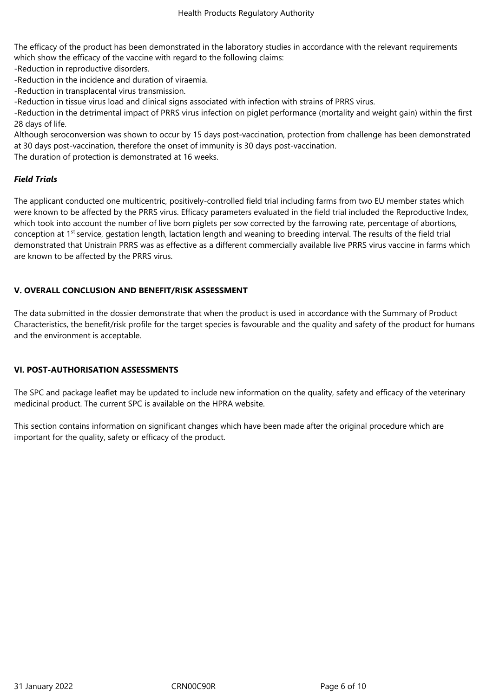The efficacy of the product has been demonstrated in the laboratory studies in accordance with the relevant requirements which show the efficacy of the vaccine with regard to the following claims:

-Reduction in reproductive disorders.

-Reduction in the incidence and duration of viraemia.

-Reduction in transplacental virus transmission.

-Reduction in tissue virus load and clinical signs associated with infection with strains of PRRS virus.

-Reduction in the detrimental impact of PRRS virus infection on piglet performance (mortality and weight gain) within the first 28 days of life.

Although seroconversion was shown to occur by 15 days post-vaccination, protection from challenge has been demonstrated at 30 days post-vaccination, therefore the onset of immunity is 30 days post-vaccination.

The duration of protection is demonstrated at 16 weeks.

## *Field Trials*

The applicant conducted one multicentric, positively-controlled field trial including farms from two EU member states which were known to be affected by the PRRS virus. Efficacy parameters evaluated in the field trial included the Reproductive Index, which took into account the number of live born piglets per sow corrected by the farrowing rate, percentage of abortions, conception at  $1<sup>st</sup>$  service, gestation length, lactation length and weaning to breeding interval. The results of the field trial demonstrated that Unistrain PRRS was as effective as a different commercially available live PRRS virus vaccine in farms which are known to be affected by the PRRS virus.

## **V. OVERALL CONCLUSION AND BENEFIT/RISK ASSESSMENT**

The data submitted in the dossier demonstrate that when the product is used in accordance with the Summary of Product Characteristics, the benefit/risk profile for the target species is favourable and the quality and safety of the product for humans and the environment is acceptable.

### **VI. POST-AUTHORISATION ASSESSMENTS**

The SPC and package leaflet may be updated to include new information on the quality, safety and efficacy of the veterinary medicinal product. The current SPC is available on the HPRA website.

This section contains information on significant changes which have been made after the original procedure which are important for the quality, safety or efficacy of the product.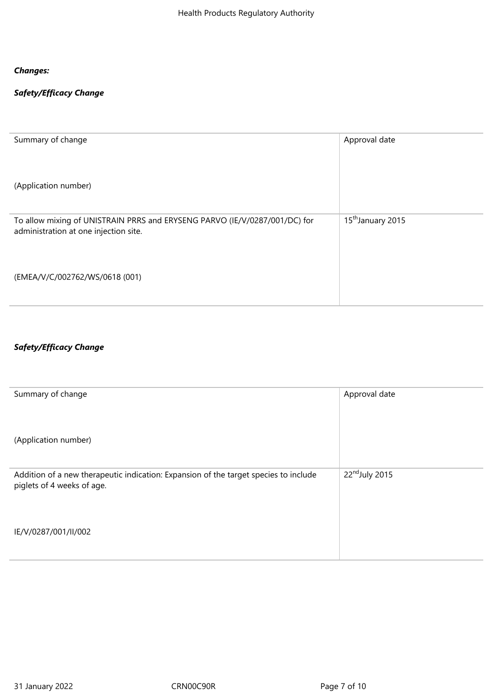# *Changes:*

# *Safety/Efficacy Change*

| Summary of change                                                                                                   | Approval date                 |
|---------------------------------------------------------------------------------------------------------------------|-------------------------------|
| (Application number)                                                                                                |                               |
| To allow mixing of UNISTRAIN PRRS and ERYSENG PARVO (IE/V/0287/001/DC) for<br>administration at one injection site. | 15 <sup>th</sup> January 2015 |
| (EMEA/V/C/002762/WS/0618 (001)                                                                                      |                               |

# *Safety/Efficacy Change*

| Summary of change                                                                                                  | Approval date              |
|--------------------------------------------------------------------------------------------------------------------|----------------------------|
| (Application number)                                                                                               |                            |
| Addition of a new therapeutic indication: Expansion of the target species to include<br>piglets of 4 weeks of age. | 22 <sup>nd</sup> July 2015 |
| IE/V/0287/001/II/002                                                                                               |                            |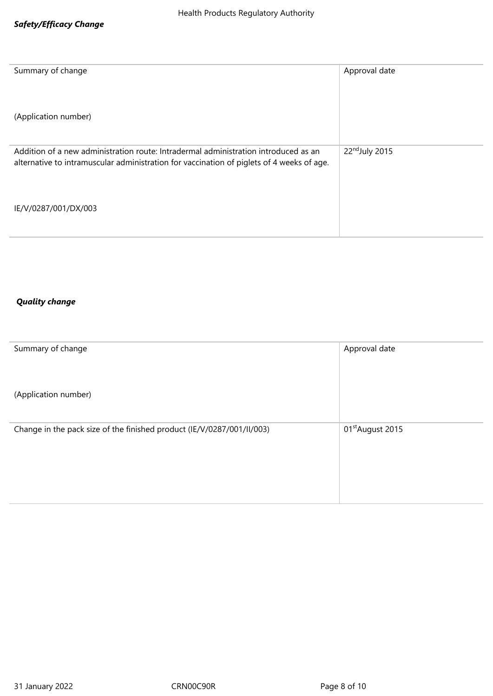| Summary of change                                                                                                                                                                | Approval date              |
|----------------------------------------------------------------------------------------------------------------------------------------------------------------------------------|----------------------------|
| (Application number)                                                                                                                                                             |                            |
| Addition of a new administration route: Intradermal administration introduced as an<br>alternative to intramuscular administration for vaccination of piglets of 4 weeks of age. | 22 <sup>nd</sup> July 2015 |
| IE/V/0287/001/DX/003                                                                                                                                                             |                            |

# *Quality change*

| Summary of change                                                      | Approval date                |
|------------------------------------------------------------------------|------------------------------|
| (Application number)                                                   |                              |
| Change in the pack size of the finished product (IE/V/0287/001/II/003) | 01 <sup>st</sup> August 2015 |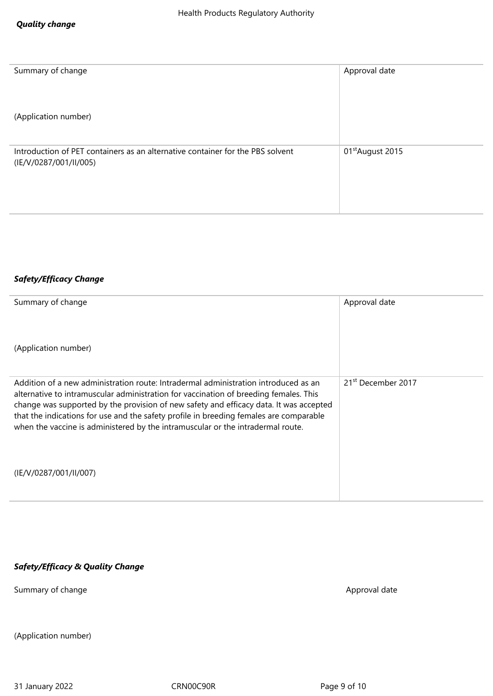| Summary of change                                                                                        | Approval date                |
|----------------------------------------------------------------------------------------------------------|------------------------------|
| (Application number)                                                                                     |                              |
| Introduction of PET containers as an alternative container for the PBS solvent<br>(IE/V/0287/001/II/005) | 01 <sup>st</sup> August 2015 |
|                                                                                                          |                              |

# *Safety/Efficacy Change*

| Summary of change                                                                                                                                                                                                                                                                                                                                                                                                                                   | Approval date                  |
|-----------------------------------------------------------------------------------------------------------------------------------------------------------------------------------------------------------------------------------------------------------------------------------------------------------------------------------------------------------------------------------------------------------------------------------------------------|--------------------------------|
| (Application number)                                                                                                                                                                                                                                                                                                                                                                                                                                |                                |
| Addition of a new administration route: Intradermal administration introduced as an<br>alternative to intramuscular administration for vaccination of breeding females. This<br>change was supported by the provision of new safety and efficacy data. It was accepted<br>that the indications for use and the safety profile in breeding females are comparable<br>when the vaccine is administered by the intramuscular or the intradermal route. | 21 <sup>st</sup> December 2017 |
| (IE/V/0287/001/II/007)                                                                                                                                                                                                                                                                                                                                                                                                                              |                                |

# *Safety/Efficacy & Quality Change*

Summary of change

Approval date